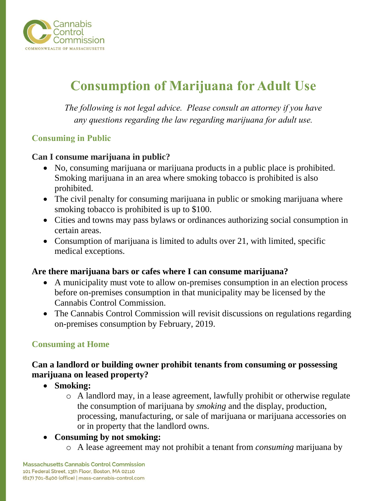

# **Consumption of Marijuana for Adult Use**

*The following is not legal advice. Please consult an attorney if you have any questions regarding the law regarding marijuana for adult use.*

# **Consuming in Public**

### **Can I consume marijuana in public?**

- No, consuming marijuana or marijuana products in a public place is prohibited. Smoking marijuana in an area where smoking tobacco is prohibited is also prohibited.
- The civil penalty for consuming marijuana in public or smoking marijuana where smoking tobacco is prohibited is up to \$100.
- Cities and towns may pass bylaws or ordinances authorizing social consumption in certain areas.
- Consumption of marijuana is limited to adults over 21, with limited, specific medical exceptions.

### **Are there marijuana bars or cafes where I can consume marijuana?**

- A municipality must vote to allow on-premises consumption in an election process before on-premises consumption in that municipality may be licensed by the Cannabis Control Commission.
- The Cannabis Control Commission will revisit discussions on regulations regarding on-premises consumption by February, 2019.

### **Consuming at Home**

# **Can a landlord or building owner prohibit tenants from consuming or possessing marijuana on leased property?**

- **Smoking:**
	- o A landlord may, in a lease agreement, lawfully prohibit or otherwise regulate the consumption of marijuana by *smoking* and the display, production, processing, manufacturing, or sale of marijuana or marijuana accessories on or in property that the landlord owns.
- **Consuming by not smoking:** 
	- o A lease agreement may not prohibit a tenant from *consuming* marijuana by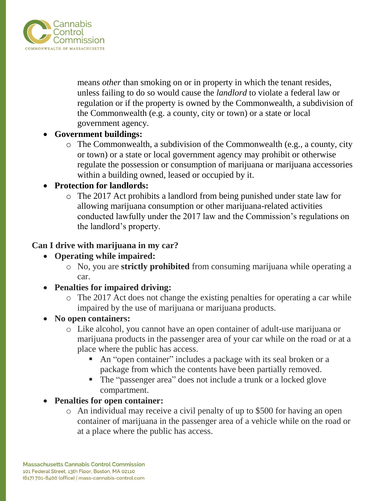

means *other* than smoking on or in property in which the tenant resides, unless failing to do so would cause the *landlord* to violate a federal law or regulation or if the property is owned by the Commonwealth, a subdivision of the Commonwealth (e.g. a county, city or town) or a state or local government agency.

## • **Government buildings:**

o The Commonwealth, a subdivision of the Commonwealth (e.g., a county, city or town) or a state or local government agency may prohibit or otherwise regulate the possession or consumption of marijuana or marijuana accessories within a building owned, leased or occupied by it.

## • **Protection for landlords:**

o The 2017 Act prohibits a landlord from being punished under state law for allowing marijuana consumption or other marijuana-related activities conducted lawfully under the 2017 law and the Commission's regulations on the landlord's property.

## **Can I drive with marijuana in my car?**

# • **Operating while impaired:**

o No, you are **strictly prohibited** from consuming marijuana while operating a car.

# • **Penalties for impaired driving:**

o The 2017 Act does not change the existing penalties for operating a car while impaired by the use of marijuana or marijuana products.

### • **No open containers:**

- o Like alcohol, you cannot have an open container of adult-use marijuana or marijuana products in the passenger area of your car while on the road or at a place where the public has access.
	- An "open container" includes a package with its seal broken or a package from which the contents have been partially removed.
	- The "passenger area" does not include a trunk or a locked glove compartment.

# • **Penalties for open container:**

o An individual may receive a civil penalty of up to \$500 for having an open container of marijuana in the passenger area of a vehicle while on the road or at a place where the public has access.